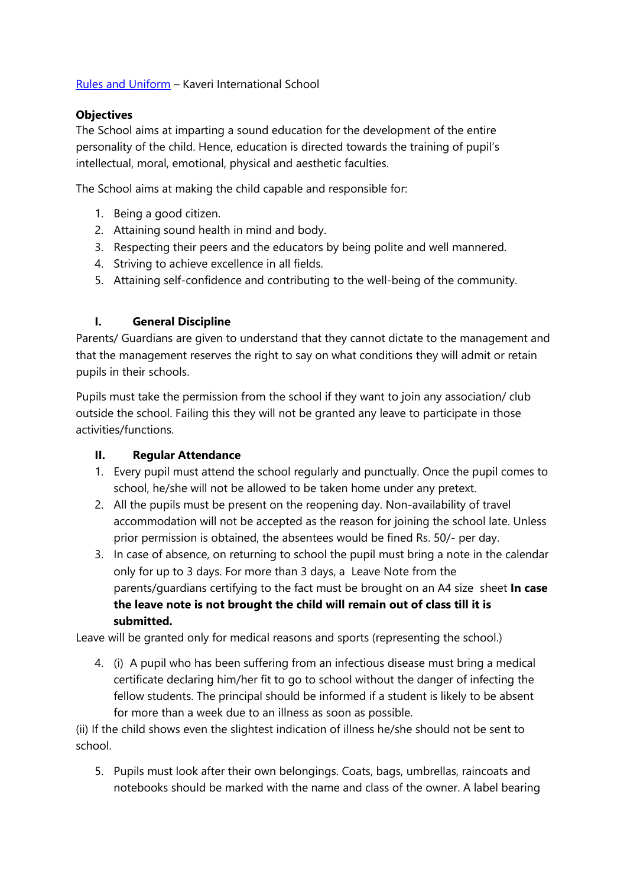# [Rules and Uniform](file:///F:/LearnEd%20Studio/Operations/Dropbox/LESTeam-KGI/Development/KIS-Kaveri%20International%20School/Rules%20and%20Uniform.docx) – Kaveri International School

#### **Objectives**

The School aims at imparting a sound education for the development of the entire personality of the child. Hence, education is directed towards the training of pupil's intellectual, moral, emotional, physical and aesthetic faculties.

The School aims at making the child capable and responsible for:

- 1. Being a good citizen.
- 2. Attaining sound health in mind and body.
- 3. Respecting their peers and the educators by being polite and well mannered.
- 4. Striving to achieve excellence in all fields.
- 5. Attaining self-confidence and contributing to the well-being of the community.

## **I. General Discipline**

Parents/ Guardians are given to understand that they cannot dictate to the management and that the management reserves the right to say on what conditions they will admit or retain pupils in their schools.

Pupils must take the permission from the school if they want to join any association/ club outside the school. Failing this they will not be granted any leave to participate in those activities/functions.

#### **II. Regular Attendance**

- 1. Every pupil must attend the school regularly and punctually. Once the pupil comes to school, he/she will not be allowed to be taken home under any pretext.
- 2. All the pupils must be present on the reopening day. Non-availability of travel accommodation will not be accepted as the reason for joining the school late. Unless prior permission is obtained, the absentees would be fined Rs. 50/- per day.
- 3. In case of absence, on returning to school the pupil must bring a note in the calendar only for up to 3 days. For more than 3 days, a Leave Note from the parents/guardians certifying to the fact must be brought on an A4 size sheet **In case the leave note is not brought the child will remain out of class till it is submitted.**

Leave will be granted only for medical reasons and sports (representing the school.)

4. (i) A pupil who has been suffering from an infectious disease must bring a medical certificate declaring him/her fit to go to school without the danger of infecting the fellow students. The principal should be informed if a student is likely to be absent for more than a week due to an illness as soon as possible.

(ii) If the child shows even the slightest indication of illness he/she should not be sent to school.

5. Pupils must look after their own belongings. Coats, bags, umbrellas, raincoats and notebooks should be marked with the name and class of the owner. A label bearing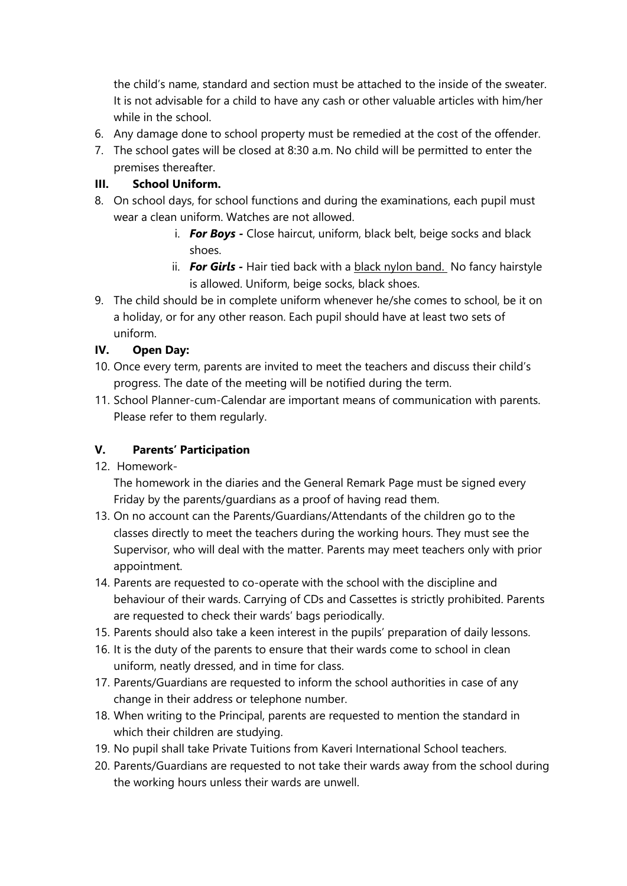the child's name, standard and section must be attached to the inside of the sweater. It is not advisable for a child to have any cash or other valuable articles with him/her while in the school.

- 6. Any damage done to school property must be remedied at the cost of the offender.
- 7. The school gates will be closed at 8:30 a.m. No child will be permitted to enter the premises thereafter.

## **III. School Uniform.**

- 8. On school days, for school functions and during the examinations, each pupil must wear a clean uniform. Watches are not allowed.
	- i. *For Boys -* Close haircut, uniform, black belt, beige socks and black shoes.
	- ii. **For Girls** Hair tied back with a black nylon band. No fancy hairstyle is allowed. Uniform, beige socks, black shoes.
- 9. The child should be in complete uniform whenever he/she comes to school, be it on a holiday, or for any other reason. Each pupil should have at least two sets of uniform.

## **IV. Open Day:**

- 10. Once every term, parents are invited to meet the teachers and discuss their child's progress. The date of the meeting will be notified during the term.
- 11. School Planner-cum-Calendar are important means of communication with parents. Please refer to them regularly.

#### **V. Parents' Participation**

12. Homework-

The homework in the diaries and the General Remark Page must be signed every Friday by the parents/guardians as a proof of having read them.

- 13. On no account can the Parents/Guardians/Attendants of the children go to the classes directly to meet the teachers during the working hours. They must see the Supervisor, who will deal with the matter. Parents may meet teachers only with prior appointment.
- 14. Parents are requested to co-operate with the school with the discipline and behaviour of their wards. Carrying of CDs and Cassettes is strictly prohibited. Parents are requested to check their wards' bags periodically.
- 15. Parents should also take a keen interest in the pupils' preparation of daily lessons.
- 16. It is the duty of the parents to ensure that their wards come to school in clean uniform, neatly dressed, and in time for class.
- 17. Parents/Guardians are requested to inform the school authorities in case of any change in their address or telephone number.
- 18. When writing to the Principal, parents are requested to mention the standard in which their children are studying.
- 19. No pupil shall take Private Tuitions from Kaveri International School teachers.
- 20. Parents/Guardians are requested to not take their wards away from the school during the working hours unless their wards are unwell.